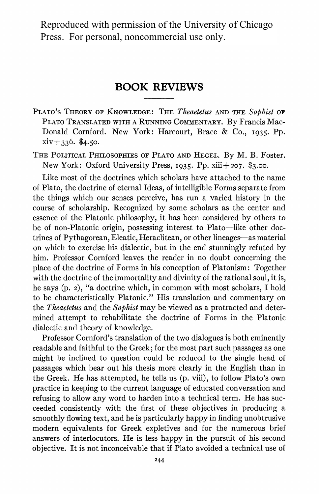Reproduced with permission of the University of Chicago Press. For personal, noncommercial use only.

## **BOOK REVIEWS**

- **PLATO'S THEORY OF KNOWLEDGE: THE Theaetetus AND THE Sophist OF PLATO TRANSLATED WITH A RUNNING COMMENTARY. By Francis Mac-Donald Cornford. New York: Harcourt, Brace & Co., I935. Pp. xiv+336. \$4.50.**
- **THE POLITICAL PHILOSOPHIES OF PLATO AND HEGEL. By M. B. Foster. New York: Oxford University Press, I935. Pp. Xiii+ 207. \$3.00.**

**Like most of the doctrines which scholars have attached to the name of Plato, the doctrine of eternal Ideas, of intelligible Forms separate from the things which our senses perceive, has run a varied history in the course of scholarship. Recognized by some scholars as the center and essence of the Platonic philosophy, it has been considered by others to**  be of non-Platonic origin, possessing interest to Plato—like other doc**trines of Pythagorean, Eleatic, Heraclitean, or other lineages-as material on which to exercise his dialectic, but in the end stunningly refuted by him. Professor Cornford leaves the reader in no doubt concerning the place of the doctrine of Forms in his conception of Platonism: Together**  with the doctrine of the immortality and divinity of the rational soul, it is, **he says (p. 2), "a doctrine which, in common with most scholars, I hold to be characteristically Platonic." His translation and commentary on the Theaetetus and the Sophist may be viewed as a protracted and determined attempt to rehabilitate the doctrine of Forms in the Platonic dialectic and theory of knowledge.** 

**Professor Cornford's translation of the two dialogues is both eminently readable and faithful to the Greek; for the most part such passages as one might be inclined to question could be reduced to the single head of passages which bear out his thesis more clearly in the English than in the Greek. He has attempted, he tells us (p. viii), to follow Plato's own practice in keeping to the current language of educated conversation and refusing to allow any word to harden into a technical term. He has succeeded consistently with the first of these objectives in producing a smoothly flowing text, and he is particularly happy in finding unobtrusive modern equivalents for Greek expletives and for the numerous brief answers of interlocutors. He is less happy in the pursuit of his second objective. It is not inconceivable that if Plato avoided a technical use of**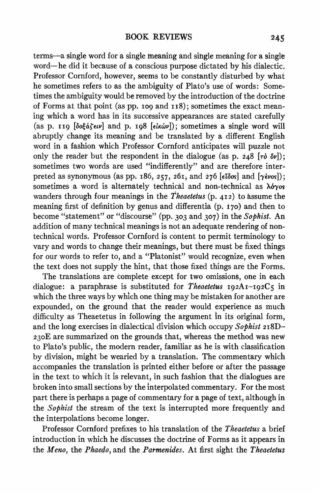**terms-a single word for a single meaning and single meaning for a single word- he did it because of a conscious purpose dictated by his dialectic. Professor Cornford, however, seems to be constantly disturbed by what he sometimes refers to as the ambiguity of Plato's use of words: Sometimes the ambiguity would be removed by the introduction of the doctrine of Forms at that point (as pp. i09 and i i8); sometimes the exact meaning which a word has in its successive appearances are stated carefully (as p. ii9 [botaietv] and p. i98 [etKWv]); sometimes a single word will abruptly change its meaning and be translated by a different English word in a fashion which Professor Cornford anticipates will puzzle not**  only the reader but the respondent in the dialogue (as p.  $248$   $[\tau\delta \ \delta\nu]$ ); sometimes two words are used "indifferently" and are therefore inter**preted as synonymous (as pp. 186,**  $257$ **,**  $261$ **, and**  $276$  $\{e\bar{b}\cos\}$  **and**  $\{\gamma\acute{e}\nu\acute{o}s\}$ **);** sometimes a word is alternately technical and non-technical as  $\lambda \delta y \delta s$ **wanders through four meanings in the Theaetetus (p. 412) to Assume the**  meaning first of definition by genus and differentia (p. 170) and then to **become "statement" or "discourse" (pp. 303 and 307) in the Sophist. An addition of many technical meanings is not an adequate rendering of nontechnical words. Professor Cornford is content to permit terminology to vary and words to change their meanings, but there must be fixed things for our words to refer to, and a "Platonist" would recognize, even when the text does not supply the hint, that those fixed things are the Forms.** 

**The translations are complete except for two omissions, one in each**  dialogue: a paraphrase is substituted for *Theaetetus*  $192A1 - 192C5$  in **which the three ways by which one thing may be mistaken for another are expounded, on the ground that the reader would experience as much difficulty as Theaetetus in following the argument in its original form, and the long exercises in dialectical division which occupy Sophist 2i8D-230E are summarized on the grounds that, Whereas the method was new to Plato's public, the modern reader, familiar as he is with classification by division, might be wearied by a translation. The commentary which accompanies the translation is printed either before or after the passage in the text to which it is relevant, in such fashion that the dialogues are broken into small sections by the interpolated commentary. For the most part there is perhaps a page of commentary for a page of text, although in the Sophist the stream of the text is interrupted more frequently and the interpolations become longer.** 

**Professor Cornford prefixes to his translation of the Theaetetus a brief introduction in which he discusses the doctrine of Forms as it appears in the Meno, the Phaedo, and the Parmenides. At first sight the Theaetetus**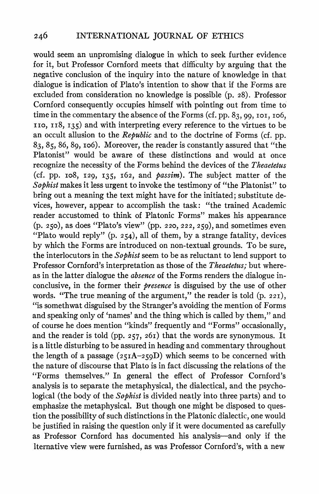**would seem an unpromising dialogue in which to seek further evidence for it, but Professor Cornford meets that difficulty by arguing that the negative conclusion of the inquiry into the nature of knowledge in that dialogue is indication of Plato's intention to show that if the Forms are excluded from consideration no knowledge is possible (p. 28). Professor Cornford consequently occupies himself with pointing out from time to time in the commentary the absence of the Forms (cf. pp. 83, 99, IOI, io6, ITO, Y i8, I35) and with interpreting every reference to the virtues to be an occult allusion to the Republic and to the doctrine of Forms (cf. pp. 83, 85, 86, 89, io6). Moreover, the reader is constantly assured that "the Platonist" would be aware of these distinctions and would at once recognize the necessity of the Forms behind the devices of the Theaetetus (cf. pp. io8, I29, I35, i62, and passim). The subject matter of the Sophist makes it less urgent to invoke the testimony of "the Platonist" to bring out a meaning the text might have for the initiated; substitute devices, however, appear to accomplish the task: "the trained Academic reader accustomed to think of Platonic Forms" makes his appearance (p. 250), as does "Plato's view" (pp. 220, 222, 259), and sometimes even "Plato would reply" (p. 254), all of them, by a strange fatality, devices by which the Forms are introduced on non-textual grounds. To be sure, the interlocutors in the Sophist seem to be as reluctant to lend support to**  Professor Cornford's interpretation as those of the *Theaetetus*; but where**as in the latter dialogue the absence of the Forms renders the dialogue inconclusive, in the former their presence is disguised by the use of other**  words. "The true meaning of the argument," the reader is told (p. 221), **"is somethwat disguised by the Stranger's avoiding the mention of Forms and speaking only of 'names' and the thing which is called by them," and of course he does mention "kinds" frequently and "Forms" occasionally, and the reader is told (pp. 257, 26i) that the words are synonymous. It is a little disturbing to be assured in heading and commentary throughout the length of a passage (25IA-259D) which seems to be concerned with the nature of discourse that Plato is in fact discussing the relations of the "Forms themselves." In general the effect of Professor Cornford's analysis is to separate the metaphysical, the dialectical, and the psychological (the body of the Sophist is divided neatly into three parts) and to emphasize the metaphysical. But though one might be disposed to question the possibility of such distinctions in the Platonic dialectic, one would be justified in raising the question only if it were documented as carefully as Professor Cornford has documented his analysis-and only if the alternative view were furnished, as was Professor Cornford's, with a new**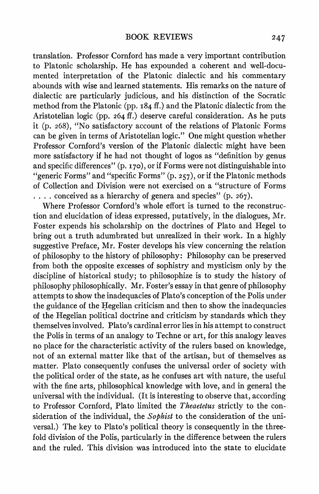**translation. Professor Cornford has made a very important contribution to Platonic scholarship. He has expounded a coherent and well-documented interpretation of the Platonic dialectic and his commentary abounds with wise and learned statements. His remarks on the nature of dialectic are particularly judicious, and his distinction of the Socratic method from the Platonic (pp. i84 if.) and the Platonic dialectic from the Aristotelian logic (pp. 264 if.) deserve careful consideration. As he puts it (p. 268), "No satisfactory account of the relations of Platonic Forms can be given in terms of Aristotelian logic." One might question whether Professor Cornford's version of the Platonic dialectic might have been more satisfactory if he had not thought of logos as "definition by genus**  and specific differences" (p. 170), or if Forms were not distinguishable into **"generic Forms" and "specific Forms" (p. 257), or if the Platonic methods of Collection and Division were not exercised on a "structure of Forms .... conceived as a hierarchy of genera and species" (p. 267).** 

**Where Professor Cornford's whole effort is turned to the reconstruction and elucidation of ideas expressed, putatively, in the dialogues, Mr. Foster expends his scholarship on the doctrines of Plato and Hegel to bring out a truth adumbrated but unrealized in their work. In a highly suggestive Preface, Mr. Foster develops his view concerning the relation of philosophy to the history of philosophy: Philosophy can be preserved from both the opposite excesses of sophistry and mysticism only by the discipline of historical study; to philosophize is to study the history of philosophy philosophically. Mr. Foster's essay in that genre of philosophy attempts to show the inadequacies of Plato's conception of the Polis under the guidance of the Hegelian criticism and then to show the inadequacies of the Hegelian political doctrine and criticism by standards which they themselves involved. Plato's cardinal error lies in his attempt to construct the Polis in terms of an analogy to Techne or art, for this analogy leaves no place for the characteristic activity of the rulers based on knowledge, not of an external matter like that of the artisan, but of themselves as matter. Plato consequently confuses the universal order of society with the political order of the state, as he confuses art with nature, the useful with the fine arts, philosophical knowledge with love, and in general the universal with the individual. (It is interesting to observe that, according**  to Professor Cornford, Plato limited the *Theaetetus* strictly to the con**sideration of the individual, the Sophist to the consideration of the universal.) The key to Plato's political theory is consequently in the threefold division of the Polis, particularly in the difference between the rulers and the ruled. This division was introduced into the state to elucidate**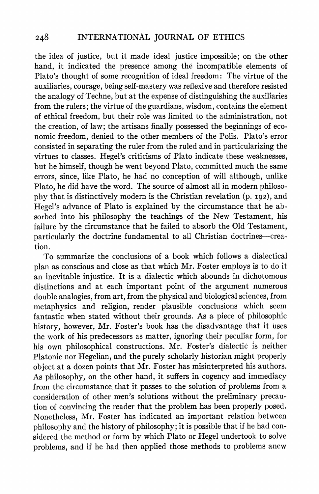**the idea of justice, but it made ideal justice impossible; on the other hand, it indicated the presence among the incompatible elements of Plato's thought of some recognition of ideal freedom: The virtue of the auxiliaries, courage, being self-mastery was reflexive and therefore resisted the analogy of Techne, but at the expense of distinguishing the auxiliaries from the rulers; the virtue of the guardians, wisdom, contains the element of ethical freedom, but their role was limited to the administration, not the creation, of law; the artisans finally possessed the beginnings of economic freedom, denied to the other members of the Polis. Plato's error consisted in separating the ruler from the ruled and in particularizing the virtues to classes. Hegel's criticisms of Plato indicate these weaknesses, but he himself, though he went beyond Plato, committed much the same errors, since, like Plato, he had no conception of will although, unlike Plato, he did have the word. The source of almost all in modern philosophy that is distinctively modern is the Christian revelation (p. 192), and Hegel's advance of Plato is explained by the circumstance that he absorbed into his philosophy the teachings of the New Testament, his failure by the circumstance that he failed to absorb the Old Testament, particularly the doctrine fundamental to all Christian doctrines-creation.** 

**To summarize the conclusions of a book which follows a dialectical plan as conscious and close as that which Mr. Foster employs is to do it an inevitable injustice. It is a dialectic which abounds in dichotomous distinctions and at each important point of the argument numerous double analogies, from art, from the physical and biological sciences, from metaphysics and religion, render plausible conclusions which seem fantastic when stated without their grounds. As a piece of philosophic history, however, Mr. Foster's book has the disadvantage that it uses the work of his predecessors as matter, ignoring their peculiar form, for his own philosophical constructions. Mr. Foster's dialectic is neither**  Platonic nor Hegelian, and the purely scholarly historian might properly **object at a dozen points that Mr. Foster has misinterpreted his authors. As philosophy, on the other hand, it suffers in cogency and immediacy from the circumstance that it passes to the solution of problems from a consideration of other men's solutions without the preliminary precaution of convincing the reader that the problem has been properly posed. Nonetheless, Mr. Foster has indicated an important relation between philosophy and the history of philosophy; it is possible that if he had considered the method or form by which Plato or Hegel undertook to solve problems, and if he had then applied those methods to problems anew**